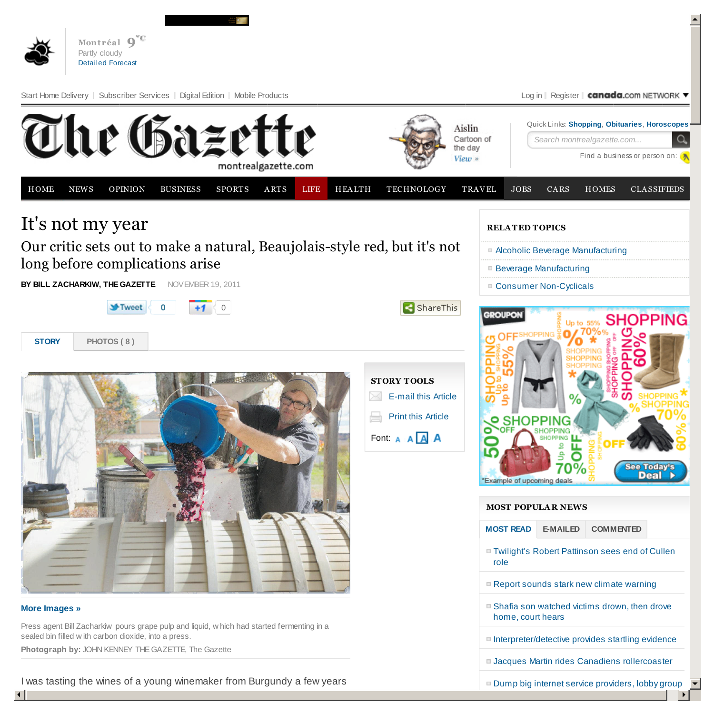

I was tasting the wines of a young winemaker from Burgundy a few years

 $\blacktriangledown$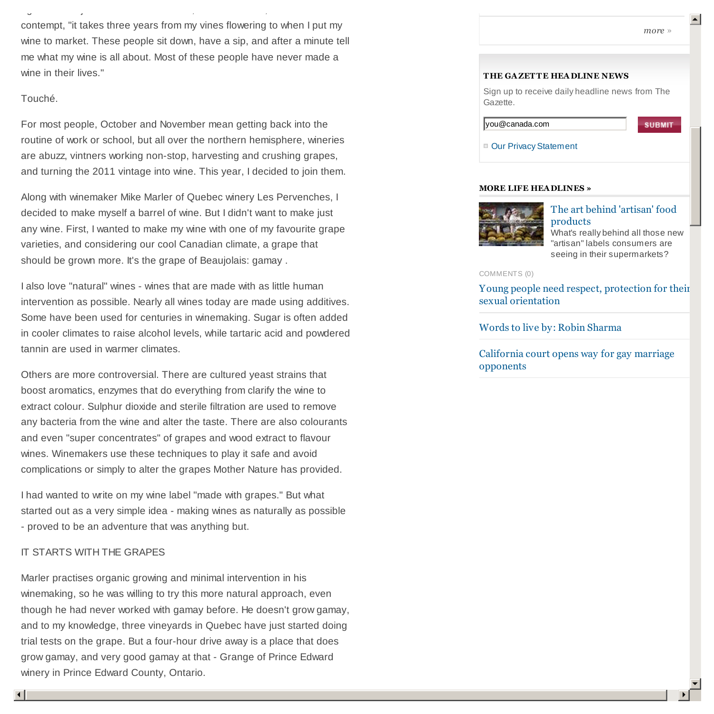contempt, "it takes three years from my vines flowering to when I put my wine to market. These people sit down, have a sip, and after a minute tell me what my wine is all about. Most of these people have never made a wine in their lives."

ago. The subject turned to wine critics, and he to wine critics, and he tone of  $\alpha$ 

# Touché.

For most people, October and November mean getting back into the routine of work or school, but all over the northern hemisphere, wineries are abuzz, vintners working non-stop, harvesting and crushing grapes, and turning the 2011 vintage into wine. This year, I decided to join them.

Along with winemaker Mike Marler of Quebec winery Les Pervenches, I decided to make myself a barrel of wine. But I didn't want to make just any wine. First, I wanted to make my wine with one of my favourite grape varieties, and considering our cool Canadian climate, a grape that should be grown more. It's the grape of Beaujolais: gamay .

I also love "natural" wines - wines that are made with as little human intervention as possible. Nearly all wines today are made using additives. Some have been used for centuries in winemaking. Sugar is often added in cooler climates to raise alcohol levels, while tartaric acid and powdered tannin are used in warmer climates.

Others are more controversial. There are cultured yeast strains that boost aromatics, enzymes that do everything from clarify the wine to extract colour. Sulphur dioxide and sterile filtration are used to remove any bacteria from the wine and alter the taste. There are also colourants and even "super concentrates" of grapes and wood extract to flavour wines. Winemakers use these techniques to play it safe and avoid complications or simply to alter the grapes Mother Nature has provided.

I had wanted to write on my wine label "made with grapes." But what started out as a very simple idea - making wines as naturally as possible - proved to be an adventure that was anything but.

# IT STARTS WITH THE GRAPES

Marler practises organic growing and minimal intervention in his winemaking, so he was willing to try this more natural approach, even though he had never worked with gamay before. He doesn't grow gamay, and to my knowledge, three vineyards in Quebec have just started doing trial tests on the grape. But a four-hour drive away is a place that does grow gamay, and very good gamay at that - Grange of Prince Edward winery in Prince Edward County, Ontario.

 $\blacktriangle$ 

### **THE GAZETTE HEADLINE NEWS**

Sign up to receive daily headline news from The Gazette.

| you@canada.com |  |
|----------------|--|
|----------------|--|

Our Privacy Statement

## **MORE LIFE HEA DLINES »**



The art behind 'artisan' food products

What's really behind all those new "artisan" labels consumers are seeing in their supermarkets?

COMMENTS (0)

Young people need respect, protection for their sexual orientation

Words to live by: Robin Sharma

California court opens way for gay marriage opponents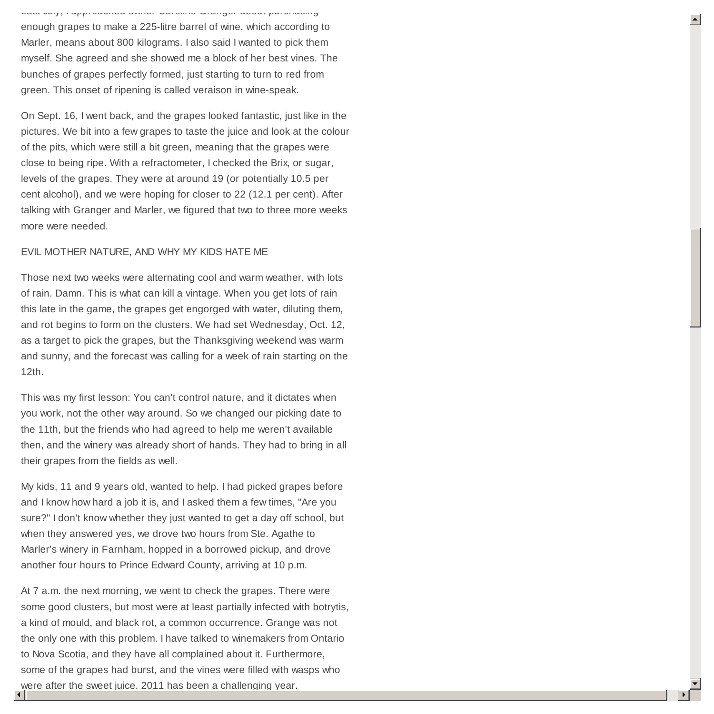Last July, I approached owner Caroline Granger about purchasing enough grapes to make a 225-litre barrel of wine, which according to Marler, means about 800 kilograms. I also said I wanted to pick them myself. She agreed and she showed me a block of her best vines. The bunches of grapes perfectly formed, just starting to turn to red from green. This onset of ripening is called veraison in wine-speak.

On Sept. 16, I went back, and the grapes looked fantastic, just like in the pictures. We bit into a few grapes to taste the juice and look at the colour of the pits, which were still a bit green, meaning that the grapes were close to being ripe. With a refractometer, I checked the Brix, or sugar, levels of the grapes. They were at around 19 (or potentially 10.5 per cent alcohol), and we were hoping for closer to 22 (12.1 per cent). After talking with Granger and Marler, we figured that two to three more weeks more were needed.

# EVIL MOTHER NATURE, AND WHY MY KIDS HATE ME

Those next two weeks were alternating cool and warm weather, with lots of rain. Damn. This is what can kill a vintage. When you get lots of rain this late in the game, the grapes get engorged with water, diluting them, and rot begins to form on the clusters. We had set Wednesday, Oct. 12, as a target to pick the grapes, but the Thanksgiving weekend was warm and sunny, and the forecast was calling for a week of rain starting on the 12th.

This was my first lesson: You can't control nature, and it dictates when you work, not the other way around. So we changed our picking date to the 11th, but the friends who had agreed to help me weren't available then, and the winery was already short of hands. They had to bring in all their grapes from the fields as well.

My kids, 11 and 9 years old, wanted to help. I had picked grapes before and I know how hard a job it is, and I asked them a few times, "Are you sure?" I don't know whether they just wanted to get a day off school, but when they answered yes, we drove two hours from Ste. Agathe to Marler's winery in Farnham, hopped in a borrowed pickup, and drove another four hours to Prince Edward County, arriving at 10 p.m.

At 7 a.m. the next morning, we went to check the grapes. There were some good clusters, but most were at least partially infected with botrytis, a kind of mould, and black rot, a common occurrence. Grange was not the only one with this problem. I have talked to winemakers from Ontario to Nova Scotia, and they have all complained about it. Furthermore, some of the grapes had burst, and the vines were filled with wasps who were after the sweet juice. 2011 has been a challenging year.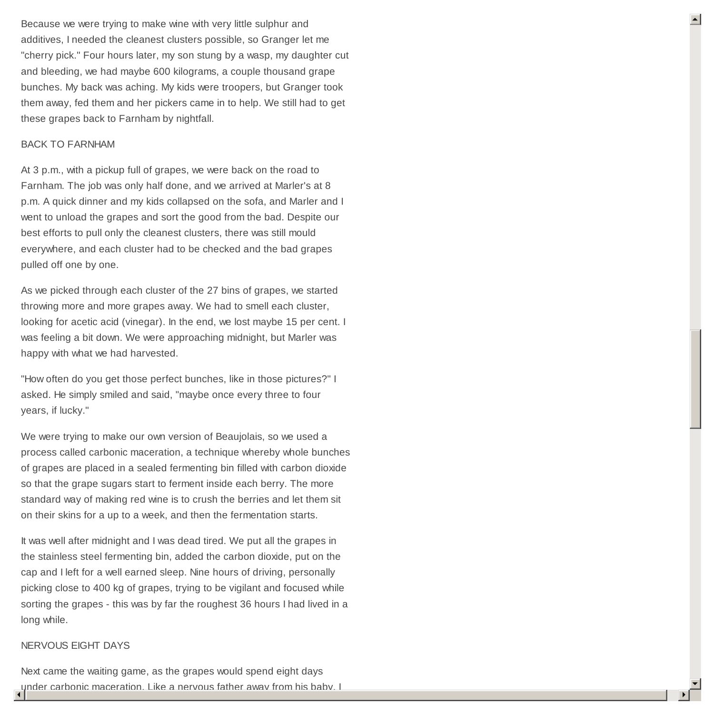Because we were trying to make wine with very little sulphur and additives, I needed the cleanest clusters possible, so Granger let me "cherry pick." Four hours later, my son stung by a wasp, my daughter cut and bleeding, we had maybe 600 kilograms, a couple thousand grape bunches. My back was aching. My kids were troopers, but Granger took them away, fed them and her pickers came in to help. We still had to get these grapes back to Farnham by nightfall.

### BACK TO FARNHAM

At 3 p.m., with a pickup full of grapes, we were back on the road to Farnham. The job was only half done, and we arrived at Marler's at 8 p.m. A quick dinner and my kids collapsed on the sofa, and Marler and I went to unload the grapes and sort the good from the bad. Despite our best efforts to pull only the cleanest clusters, there was still mould everywhere, and each cluster had to be checked and the bad grapes pulled off one by one.

As we picked through each cluster of the 27 bins of grapes, we started throwing more and more grapes away. We had to smell each cluster, looking for acetic acid (vinegar). In the end, we lost maybe 15 per cent. I was feeling a bit down. We were approaching midnight, but Marler was happy with what we had harvested.

"How often do you get those perfect bunches, like in those pictures?" I asked. He simply smiled and said, "maybe once every three to four years, if lucky."

We were trying to make our own version of Beaujolais, so we used a process called carbonic maceration, a technique whereby whole bunches of grapes are placed in a sealed fermenting bin filled with carbon dioxide so that the grape sugars start to ferment inside each berry. The more standard way of making red wine is to crush the berries and let them sit on their skins for a up to a week, and then the fermentation starts.

It was well after midnight and I was dead tired. We put all the grapes in the stainless steel fermenting bin, added the carbon dioxide, put on the cap and I left for a well earned sleep. Nine hours of driving, personally picking close to 400 kg of grapes, trying to be vigilant and focused while sorting the grapes - this was by far the roughest 36 hours I had lived in a long while.

## NERVOUS EIGHT DAYS

 $\blacktriangleleft$ Next came the waiting game, as the grapes would spend eight days nder carbonic maceration. Like a nervous father away from his baby, I

 $\blacktriangleright$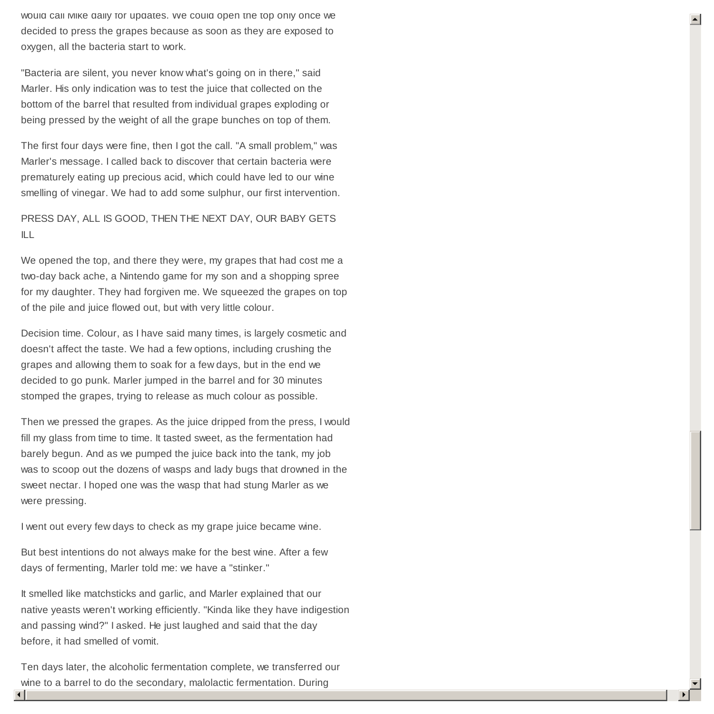would call Mike daily for updates. We could open the top only once we decided to press the grapes because as soon as they are exposed to oxygen, all the bacteria start to work.

"Bacteria are silent, you never know what's going on in there," said Marler. His only indication was to test the juice that collected on the bottom of the barrel that resulted from individual grapes exploding or being pressed by the weight of all the grape bunches on top of them.

The first four days were fine, then I got the call. "A small problem," was Marler's message. I called back to discover that certain bacteria were prematurely eating up precious acid, which could have led to our wine smelling of vinegar. We had to add some sulphur, our first intervention.

PRESS DAY, ALL IS GOOD, THEN THE NEXT DAY, OUR BABY GETS ILL

We opened the top, and there they were, my grapes that had cost me a two-day back ache, a Nintendo game for my son and a shopping spree for my daughter. They had forgiven me. We squeezed the grapes on top of the pile and juice flowed out, but with very little colour.

Decision time. Colour, as I have said many times, is largely cosmetic and doesn't affect the taste. We had a few options, including crushing the grapes and allowing them to soak for a few days, but in the end we decided to go punk. Marler jumped in the barrel and for 30 minutes stomped the grapes, trying to release as much colour as possible.

Then we pressed the grapes. As the juice dripped from the press, I would fill my glass from time to time. It tasted sweet, as the fermentation had barely begun. And as we pumped the juice back into the tank, my job was to scoop out the dozens of wasps and lady bugs that drowned in the sweet nectar. I hoped one was the wasp that had stung Marler as we were pressing.

I went out every few days to check as my grape juice became wine.

But best intentions do not always make for the best wine. After a few days of fermenting, Marler told me: we have a "stinker."

It smelled like matchsticks and garlic, and Marler explained that our native yeasts weren't working efficiently. "Kinda like they have indigestion and passing wind?" I asked. He just laughed and said that the day before, it had smelled of vomit.

Ten days later, the alcoholic fermentation complete, we transferred our wine to a barrel to do the secondary, malolactic fermentation. During

 $\frac{1}{\sqrt{2}}$  $\blacktriangleright$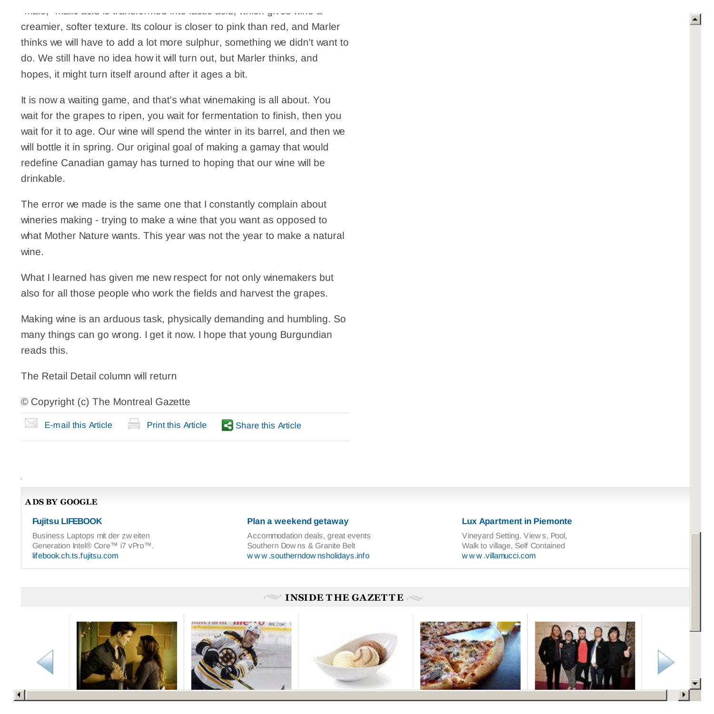creamier, softer texture. Its colour is closer to pink than red, and Marler thinks we will have to add a lot more sulphur, something we didn't want to do. We still have no idea how it will turn out, but Marler thinks, and hopes, it might turn itself around after it ages a bit.

malic acid, malic acid, which gives wine acid, which gives wine a

It is now a waiting game, and that's what winemaking is all about. You wait for the grapes to ripen, you wait for fermentation to finish, then you wait for it to age. Our wine will spend the winter in its barrel, and then we will bottle it in spring. Our original goal of making a gamay that would redefine Canadian gamay has turned to hoping that our wine will be drinkable.

The error we made is the same one that I constantly complain about wineries making - trying to make a wine that you want as opposed to what Mother Nature wants. This year was not the year to make a natural wine.

What I learned has given me new respect for not only winemakers but also for all those people who work the fields and harvest the grapes.

Making wine is an arduous task, physically demanding and humbling. So many things can go wrong. I get it now. I hope that young Burgundian reads this.

The Retail Detail column will return

© Copyright (c) The Montreal Gazette

 $\boxtimes$  E-mail this Article Print this Article

Share this Article

### **A DS BY GOOGLE**

#### **Fujitsu LIFEBOOK**

Business Laptops mit der zw eiten Generation Intel® Core™ i7 vPro™. lifebook.ch.ts.fujitsu.com

#### **Plan a weekend getaway**

Accommodation deals, great events Southern Dow ns & Granite Belt w w w .southerndow nsholidays.info

#### **Lux Apartment in Piemonte**

Vineyard Setting. View s, Pool, Walk to village, Self Contained w w w .villamucci.com

## **INSIDE THE GAZETTE**











 $\blacktriangledown$